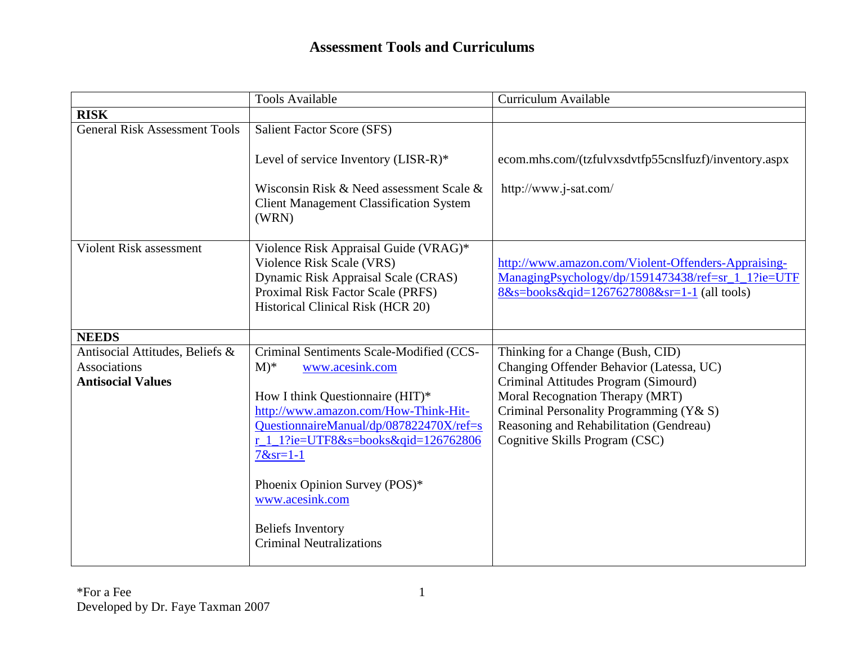## **Assessment Tools and Curriculums**

|                                      | <b>Tools Available</b>                                                                              | Curriculum Available                                                                              |
|--------------------------------------|-----------------------------------------------------------------------------------------------------|---------------------------------------------------------------------------------------------------|
| <b>RISK</b>                          |                                                                                                     |                                                                                                   |
| <b>General Risk Assessment Tools</b> | Salient Factor Score (SFS)                                                                          |                                                                                                   |
|                                      | Level of service Inventory (LISR-R)*                                                                | ecom.mhs.com/(tzfulvxsdvtfp55cnslfuzf)/inventory.aspx                                             |
|                                      | Wisconsin Risk & Need assessment Scale &<br><b>Client Management Classification System</b><br>(WRN) | http://www.j-sat.com/                                                                             |
| <b>Violent Risk assessment</b>       | Violence Risk Appraisal Guide (VRAG)*                                                               |                                                                                                   |
|                                      | Violence Risk Scale (VRS)                                                                           | http://www.amazon.com/Violent-Offenders-Appraising-                                               |
|                                      | Dynamic Risk Appraisal Scale (CRAS)<br>Proximal Risk Factor Scale (PRFS)                            | ManagingPsychology/dp/1591473438/ref=sr_1_1?ie=UTF<br>8&s=books&qid=1267627808&sr=1-1 (all tools) |
|                                      | Historical Clinical Risk (HCR 20)                                                                   |                                                                                                   |
|                                      |                                                                                                     |                                                                                                   |
| <b>NEEDS</b>                         |                                                                                                     |                                                                                                   |
| Antisocial Attitudes, Beliefs &      | Criminal Sentiments Scale-Modified (CCS-                                                            | Thinking for a Change (Bush, CID)                                                                 |
| Associations                         | $M^*$<br>www.acesink.com                                                                            | Changing Offender Behavior (Latessa, UC)                                                          |
| <b>Antisocial Values</b>             |                                                                                                     | Criminal Attitudes Program (Simourd)                                                              |
|                                      | How I think Questionnaire (HIT)*<br>http://www.amazon.com/How-Think-Hit-                            | Moral Recognation Therapy (MRT)<br>Criminal Personality Programming (Y& S)                        |
|                                      | QuestionnaireManual/dp/087822470X/ref=s                                                             | Reasoning and Rehabilitation (Gendreau)                                                           |
|                                      | $r_1$ 1?ie=UTF8&s=books&qid=126762806<br>$7 & s = 1 - 1$                                            | Cognitive Skills Program (CSC)                                                                    |
|                                      | Phoenix Opinion Survey (POS)*<br>www.acesink.com                                                    |                                                                                                   |
|                                      | <b>Beliefs Inventory</b><br><b>Criminal Neutralizations</b>                                         |                                                                                                   |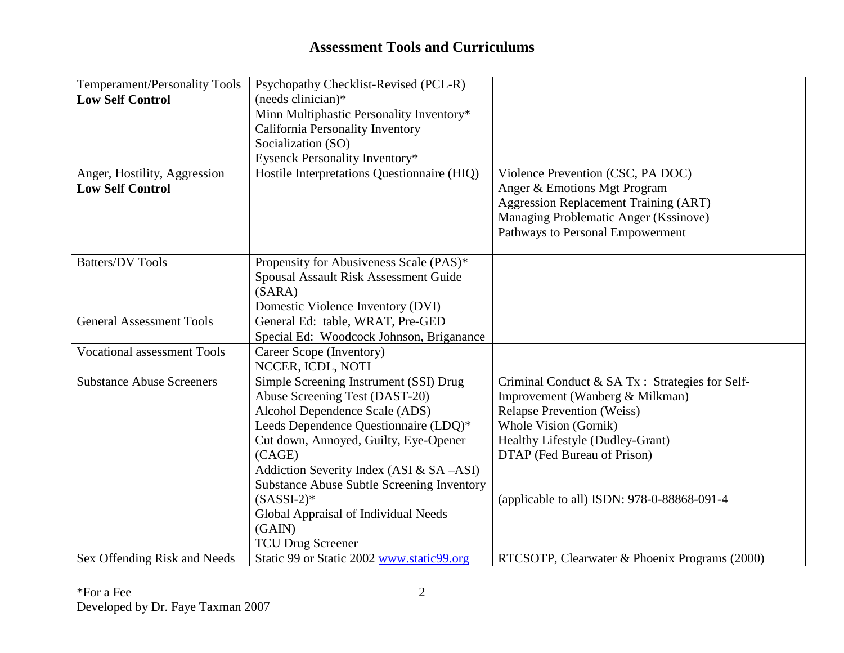## **Assessment Tools and Curriculums**

| <b>Temperament/Personality Tools</b> | Psychopathy Checklist-Revised (PCL-R)             |                                                 |
|--------------------------------------|---------------------------------------------------|-------------------------------------------------|
| <b>Low Self Control</b>              | $(n$ eeds clinician $)*$                          |                                                 |
|                                      | Minn Multiphastic Personality Inventory*          |                                                 |
|                                      | California Personality Inventory                  |                                                 |
|                                      | Socialization (SO)                                |                                                 |
|                                      | Eysenck Personality Inventory*                    |                                                 |
| Anger, Hostility, Aggression         | Hostile Interpretations Questionnaire (HIQ)       | Violence Prevention (CSC, PA DOC)               |
| <b>Low Self Control</b>              |                                                   | Anger & Emotions Mgt Program                    |
|                                      |                                                   | <b>Aggression Replacement Training (ART)</b>    |
|                                      |                                                   | Managing Problematic Anger (Kssinove)           |
|                                      |                                                   | Pathways to Personal Empowerment                |
|                                      |                                                   |                                                 |
| <b>Batters/DV Tools</b>              | Propensity for Abusiveness Scale (PAS)*           |                                                 |
|                                      | Spousal Assault Risk Assessment Guide             |                                                 |
|                                      | (SARA)                                            |                                                 |
|                                      | Domestic Violence Inventory (DVI)                 |                                                 |
| <b>General Assessment Tools</b>      | General Ed: table, WRAT, Pre-GED                  |                                                 |
|                                      | Special Ed: Woodcock Johnson, Briganance          |                                                 |
| <b>Vocational assessment Tools</b>   | Career Scope (Inventory)                          |                                                 |
|                                      | NCCER, ICDL, NOTI                                 |                                                 |
| <b>Substance Abuse Screeners</b>     | Simple Screening Instrument (SSI) Drug            | Criminal Conduct & SA Tx : Strategies for Self- |
|                                      | Abuse Screening Test (DAST-20)                    | Improvement (Wanberg & Milkman)                 |
|                                      | Alcohol Dependence Scale (ADS)                    | <b>Relapse Prevention (Weiss)</b>               |
|                                      | Leeds Dependence Questionnaire (LDQ)*             | Whole Vision (Gornik)                           |
|                                      | Cut down, Annoyed, Guilty, Eye-Opener             | Healthy Lifestyle (Dudley-Grant)                |
|                                      | (CAGE)                                            | DTAP (Fed Bureau of Prison)                     |
|                                      | Addiction Severity Index (ASI & SA -ASI)          |                                                 |
|                                      | <b>Substance Abuse Subtle Screening Inventory</b> |                                                 |
|                                      | $(SASSI-2)*$                                      | (applicable to all) ISDN: 978-0-88868-091-4     |
|                                      | Global Appraisal of Individual Needs              |                                                 |
|                                      | (GAIN)                                            |                                                 |
|                                      | <b>TCU Drug Screener</b>                          |                                                 |
| Sex Offending Risk and Needs         | Static 99 or Static 2002 www.static99.org         | RTCSOTP, Clearwater & Phoenix Programs (2000)   |